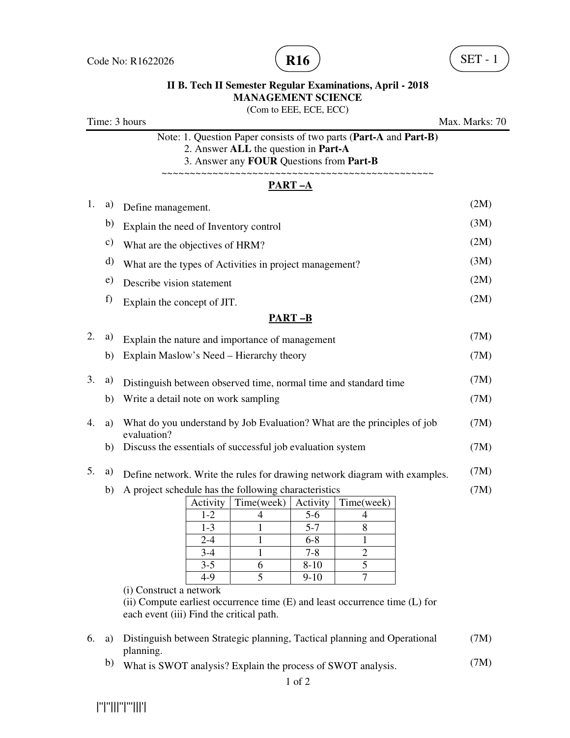

## **II B. Tech II Semester Regular Examinations, April - 2018 MANAGEMENT SCIENCE**

(Com to EEE, ECE, ECC)

Time: 3 hours Max. Marks: 70 Note: 1. Question Paper consists of two parts (**Part-A** and **Part-B)** 2. Answer **ALL** the question in **Part-A** 3. Answer any **FOUR** Questions from **Part-B** ~~~~~~~~~~~~~~~~~~~~~~~~~~~~~~~~~~~~~~~~~~~~~~~~ **PART –A**  1. a) Define management. (2M) b) Explain the need of Inventory control (3M) c) What are the objectives of HRM? (2M) d) What are the types of Activities in project management? (3M) e) Describe vision statement (2M) f) Explain the concept of JIT.  $(2M)$ **PART –B** 2. a) Explain the nature and importance of management  $(7M)$ b) Explain Maslow's Need – Hierarchy theory (7M) 3. a) Distinguish between observed time, normal time and standard time (7M) b) Write a detail note on work sampling (7M) 4. a) What do you understand by Job Evaluation? What are the principles of job evaluation? (7M) b) Discuss the essentials of successful job evaluation system (7M) 5. a) Define network. Write the rules for drawing network diagram with examples. (7M) b) A project schedule has the following characteristics Activity  $\mid$  Time(week)  $\mid$  Activity  $\mid$  Time(week) 1-2 4 5-6 4  $1-3$  1 5-7 8  $2-4$  1 6-8 1 3-4 1 7-8 2 3-5 6 8-10 5 4-9 5 9-10 7 (i) Construct a network (ii) Compute earliest occurrence time (E) and least occurrence time (L) for each event (iii) Find the critical path. (7M) 6. a) Distinguish between Strategic planning, Tactical planning and Operational planning. (7M) b) What is SWOT analysis? Explain the process of SWOT analysis. (7M)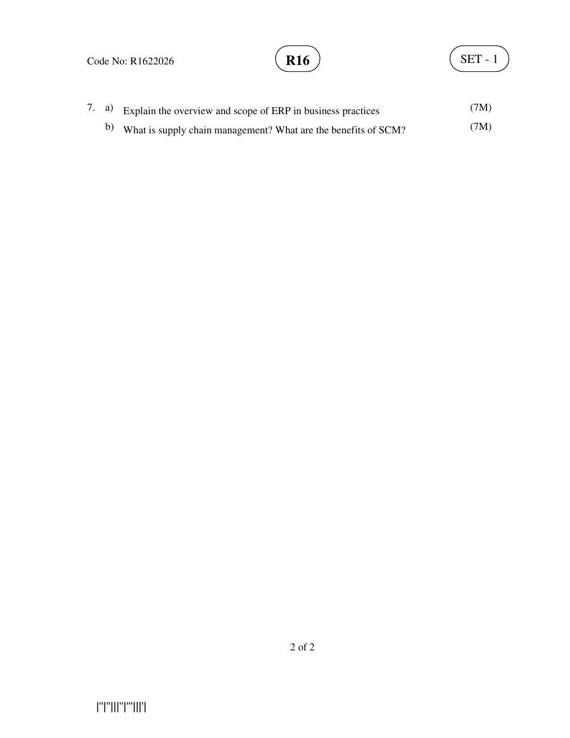#### Code No: R1622026

|''|''|||''|'''|||'|



|  | 7. a) Explain the overview and scope of ERP in business practices | (7M) |
|--|-------------------------------------------------------------------|------|
|  | b) What is supply chain management? What are the benefits of SCM? | (7M) |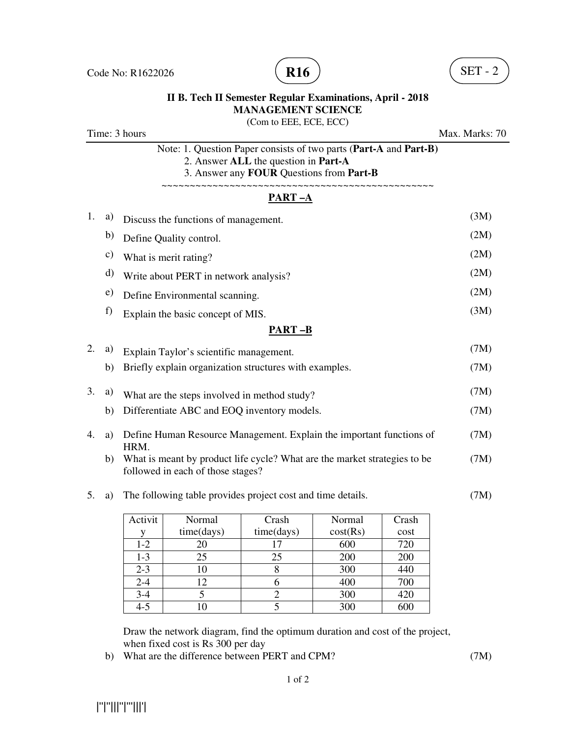

#### **II B. Tech II Semester Regular Examinations, April - 2018 MANAGEMENT SCIENCE**

(Com to EEE, ECE, ECC) Time: 3 hours Max. Marks: 70 Note: 1. Question Paper consists of two parts (**Part-A** and **Part-B)** 2. Answer **ALL** the question in **Part-A** 3. Answer any **FOUR** Questions from **Part-B** ~~~~~~~~~~~~~~~~~~~~~~~~~~~~~~~~~~~~~~~~~~~~~~~~ **PART –A**  1. a) Discuss the functions of management. (3M) b) Define Quality control. (2M) c) What is merit rating? (2M) d) Write about PERT in network analysis? (2M) e) Define Environmental scanning. (2M) f) Explain the basic concept of MIS.  $(3M)$ **PART –B** 2. a) Explain Taylor's scientific management. (7M) b) Briefly explain organization structures with examples. (7M) 3. a) What are the steps involved in method study? (7M) b) Differentiate ABC and EOQ inventory models. (7M) 4. a) Define Human Resource Management. Explain the important functions of (7M) HRM. b) What is meant by product life cycle? What are the market strategies to be (7M) followed in each of those stages? 5. a) The following table provides project cost and time details. (7M)  $\top$  $-1$ Activit Normal Crash Normal

| ACUVIU  | inormal    | Crasn      | Normal   | Urasn |
|---------|------------|------------|----------|-------|
|         | time(days) | time(days) | cost(Rs) | cost  |
| $1 - 2$ | 20         |            | 600      | 720   |
| $1 - 3$ | 25         | 25         | 200      | 200   |
| $2 - 3$ | 10         |            | 300      | 440   |
| $2 - 4$ | 12         |            | 400      | 700   |
| $3 - 4$ |            |            | 300      | 420   |
| $4 - 5$ |            |            | 300      | 600   |

Draw the network diagram, find the optimum duration and cost of the project, when fixed cost is Rs 300 per day

b) What are the difference between PERT and CPM? (7M)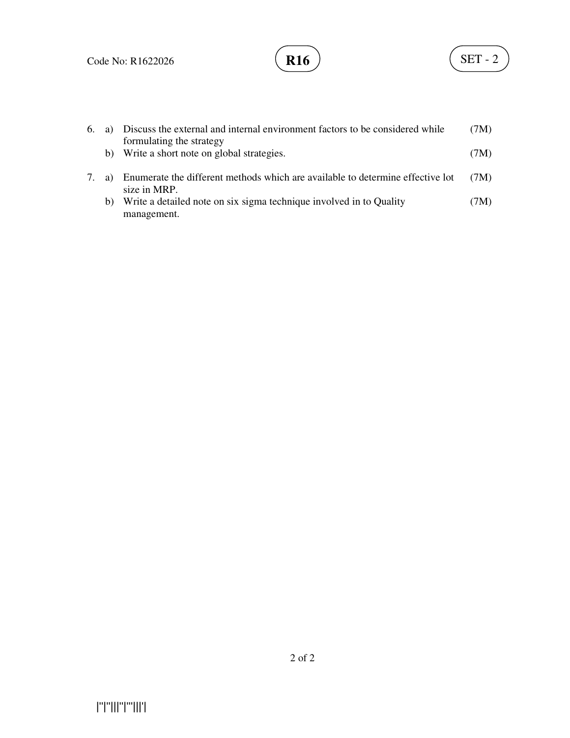

| 6. |    | a) Discuss the external and internal environment factors to be considered while | (7M) |
|----|----|---------------------------------------------------------------------------------|------|
|    |    | formulating the strategy                                                        |      |
|    |    | b) Write a short note on global strategies.                                     | (7M) |
|    |    |                                                                                 |      |
|    | a) | Enumerate the different methods which are available to determine effective lot  | (7M) |
|    |    | size in MRP.                                                                    |      |
|    | b) | Write a detailed note on six sigma technique involved in to Quality             | (7M) |
|    |    | management.                                                                     |      |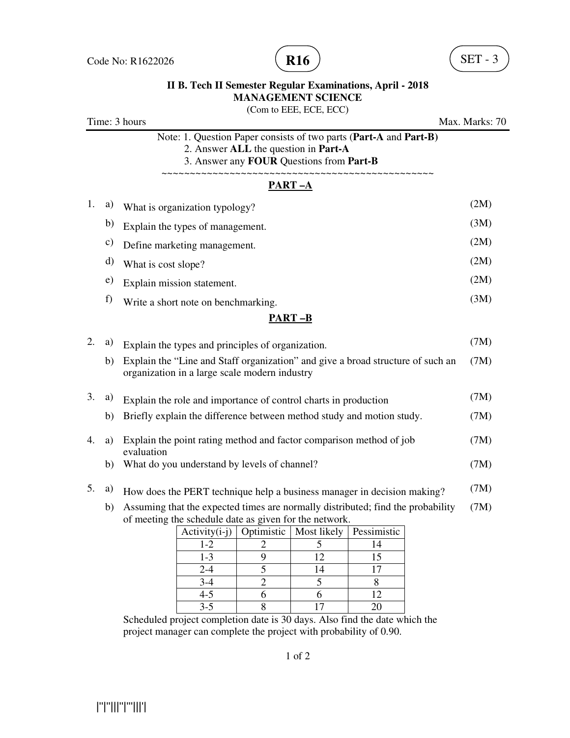

## **II B. Tech II Semester Regular Examinations, April - 2018 MANAGEMENT SCIENCE**

(Com to EEE, ECE, ECC)

Time: 3 hours Max. Marks: 70 Note: 1. Question Paper consists of two parts (**Part-A** and **Part-B)** 2. Answer **ALL** the question in **Part-A** 3. Answer any **FOUR** Questions from **Part-B** ~~~~~~~~~~~~~~~~~~~~~~~~~~~~~~~~~~~~~~~~~~~~~~~~ **PART –A**  1. a) What is organization typology? (2M) b) Explain the types of management. (3M) c) Define marketing management. (2M) d) What is cost slope? (2M) e) Explain mission statement. (2M) f) Write a short note on benchmarking. (3M) **PART –B** 2. a) Explain the types and principles of organization. (7M) b) Explain the "Line and Staff organization" and give a broad structure of such an organization in a large scale modern industry (7M) 3. a) Explain the role and importance of control charts in production (7M) b) Briefly explain the difference between method study and motion study. (7M) 4. a) Explain the point rating method and factor comparison method of job evaluation (7M) b) What do you understand by levels of channel? (7M) 5. a) How does the PERT technique help a business manager in decision making? (7M) b) Assuming that the expected times are normally distributed; find the probability of meeting the schedule date as given for the network.  $Activity(i-j) | Optimistic | Most likely | Possimistic$  $1-2$  2 5 14 1-3 9 12 15 2-4 5 14 17  $3-4$  2 5 8 4-5 6 6 12 3-5 8 17 20 Scheduled project completion date is 30 days. Also find the date which the project manager can complete the project with probability of 0.90. (7M)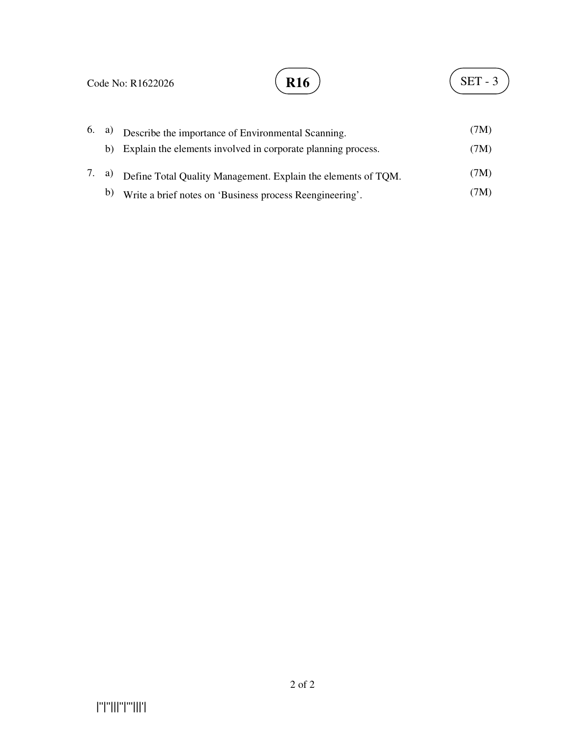

|  | $(6, a)$ Describe the importance of Environmental Scanning.         | (7M) |
|--|---------------------------------------------------------------------|------|
|  | b) Explain the elements involved in corporate planning process.     | (7M) |
|  | 7. a) Define Total Quality Management. Explain the elements of TQM. | (7M) |
|  | b) Write a brief notes on 'Business process Reengineering'.         | (7M) |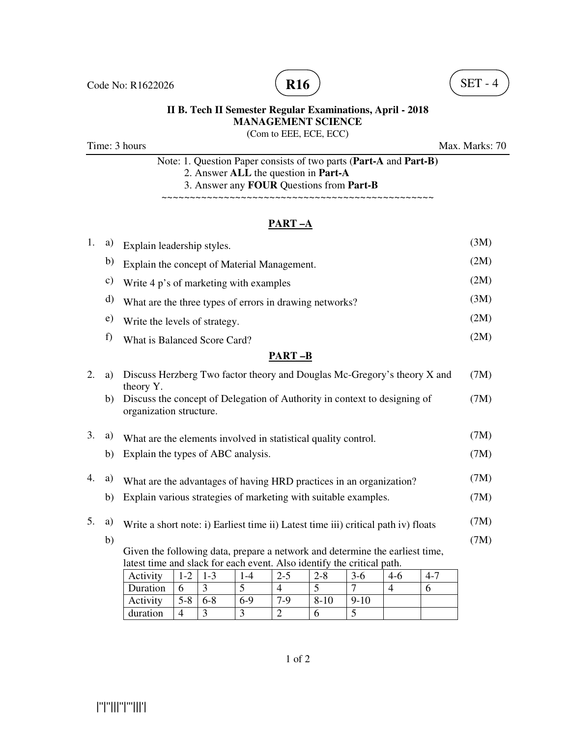

# **R16**  $\big)$  (SET - 4)

## **II B. Tech II Semester Regular Examinations, April - 2018 MANAGEMENT SCIENCE**

## (Com to EEE, ECE, ECC)

Time: 3 hours Max. Marks: 70

Note: 1. Question Paper consists of two parts (**Part-A** and **Part-B)** 2. Answer **ALL** the question in **Part-A** 3. Answer any **FOUR** Questions from **Part-B**

~~~~~~~~~~~~~~~~~~~~~~~~~~~~~~~~~~~~~~~~~~~~~~~~

#### **PART –A**

| 1.                                                                     | a)            | Explain leadership styles.                                                                           |                |         |         |                |          |                |                |         | (3M) |
|------------------------------------------------------------------------|---------------|------------------------------------------------------------------------------------------------------|----------------|---------|---------|----------------|----------|----------------|----------------|---------|------|
|                                                                        | b)            | Explain the concept of Material Management.                                                          |                |         |         |                |          |                |                |         | (2M) |
|                                                                        | $\mathbf{c})$ | Write 4 p's of marketing with examples                                                               |                |         |         |                |          |                |                |         | (2M) |
|                                                                        | d)            | What are the three types of errors in drawing networks?                                              |                |         |         |                |          |                |                |         | (3M) |
|                                                                        | e)            | Write the levels of strategy.                                                                        |                |         |         |                |          |                |                |         | (2M) |
|                                                                        | f)            | What is Balanced Score Card?                                                                         |                |         |         |                |          |                |                |         | (2M) |
|                                                                        |               |                                                                                                      |                |         |         | <b>PART-B</b>  |          |                |                |         |      |
| 2.                                                                     | a)            | Discuss Herzberg Two factor theory and Douglas Mc-Gregory's theory X and<br>theory Y.                |                |         |         |                |          |                |                |         | (7M) |
|                                                                        | b)            | Discuss the concept of Delegation of Authority in context to designing of<br>organization structure. |                |         |         |                |          |                |                |         | (7M) |
| 3.                                                                     | a)            | What are the elements involved in statistical quality control.                                       |                |         |         |                |          |                |                |         | (7M) |
|                                                                        | b)            | Explain the types of ABC analysis.                                                                   |                |         |         |                |          |                |                |         | (7M) |
| 4.                                                                     | a)            | What are the advantages of having HRD practices in an organization?                                  |                |         |         |                |          | (7M)           |                |         |      |
|                                                                        | b)            | Explain various strategies of marketing with suitable examples.                                      |                |         |         |                |          | (7M)           |                |         |      |
| 5.                                                                     | a)            | Write a short note: i) Earliest time ii) Latest time iii) critical path iv) floats                   |                |         |         |                |          |                | (7M)           |         |      |
|                                                                        | b)            |                                                                                                      |                |         |         |                |          |                |                |         | (7M) |
|                                                                        |               | Given the following data, prepare a network and determine the earliest time,                         |                |         |         |                |          |                |                |         |      |
| latest time and slack for each event. Also identify the critical path. |               |                                                                                                      |                |         |         |                |          |                |                |         |      |
|                                                                        |               | Activity                                                                                             | $1 - 2$        | $1 - 3$ | $1 - 4$ | $2 - 5$        | $2 - 8$  | $3-6$          | $4-6$          | $4 - 7$ |      |
|                                                                        |               | Duration                                                                                             | 6              | 3       | 5       | $\overline{4}$ | 5        | $\overline{7}$ | $\overline{4}$ | 6       |      |
|                                                                        |               | Activity                                                                                             | $5 - 8$        | $6 - 8$ | $6-9$   | $7-9$          | $8 - 10$ | $9-10$         |                |         |      |
|                                                                        |               | duration                                                                                             | $\overline{4}$ | 3       | 3       | $\overline{2}$ | 6        | 5              |                |         |      |